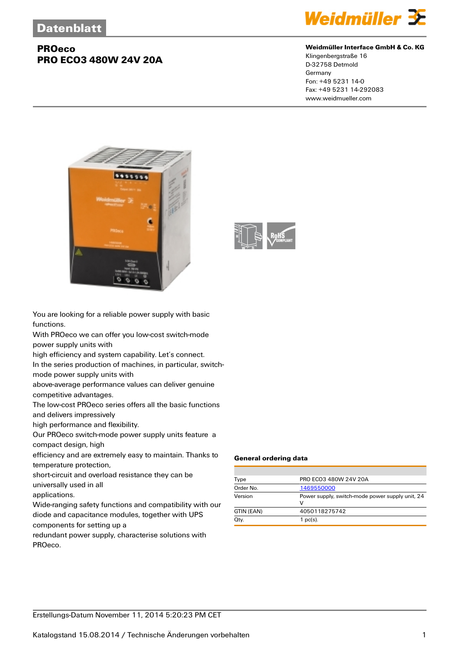

## **Weidmüller Interface GmbH & Co. KG**

Klingenbergstraße 16 D-32758 Detmold Germany Fon: +49 5231 14-0 Fax: +49 5231 14-292083 www.weidmueller.com





With PROeco we can offer you low-cost switch-mode power supply units with

high efficiency and system capability. Let's connect.

In the series production of machines, in particular, switch-

mode power supply units with

above-average performance values can deliver genuine competitive advantages.

The low-cost PROeco series offers all the basic functions and delivers impressively

high performance and flexibility.

Our PROeco switch-mode power supply units feature a compact design, high

efficiency and are extremely easy to maintain. Thanks to temperature protection,

short-circuit and overload resistance they can be universally used in all

applications.

Wide-ranging safety functions and compatibility with our diode and capacitance modules, together with UPS components for setting up a

redundant power supply, characterise solutions with PROeco.

## **General ordering data**

| Type       | PRO ECO3 480W 24V 20A                                |  |  |
|------------|------------------------------------------------------|--|--|
| Order No.  | 1469550000                                           |  |  |
| Version    | Power supply, switch-mode power supply unit, 24<br>v |  |  |
| GTIN (EAN) | 4050118275742                                        |  |  |
| Qty.       | $1$ pc(s).                                           |  |  |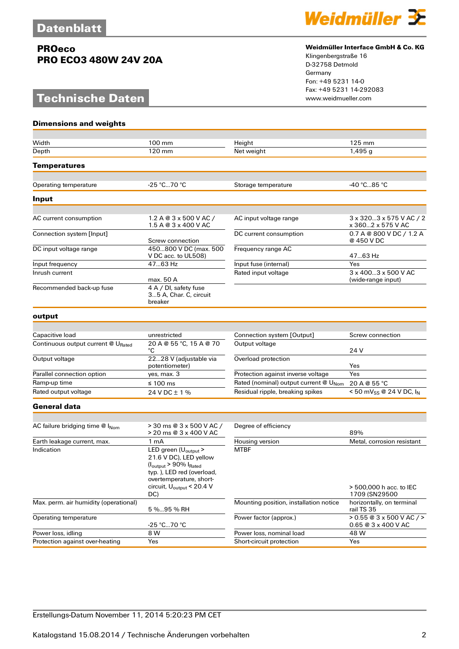# **Technische Daten**

**Dimensions and weights**



## **Weidmüller Interface GmbH & Co. KG**

Klingenbergstraße 16 D-32758 Detmold Germany Fon: +49 5231 14-0 Fax: +49 5231 14-292083

| Width                                       | 100 mm                                                                                                                                                                                                             | Height                                 | 125 mm                                       |
|---------------------------------------------|--------------------------------------------------------------------------------------------------------------------------------------------------------------------------------------------------------------------|----------------------------------------|----------------------------------------------|
| Depth                                       | 120 mm                                                                                                                                                                                                             | Net weight                             | 1,495 g                                      |
| <b>Temperatures</b>                         |                                                                                                                                                                                                                    |                                        |                                              |
|                                             |                                                                                                                                                                                                                    |                                        |                                              |
| Operating temperature                       | -25 °C70 °C                                                                                                                                                                                                        | Storage temperature                    | $-40 °C85 °C$                                |
| Input                                       |                                                                                                                                                                                                                    |                                        |                                              |
|                                             |                                                                                                                                                                                                                    |                                        |                                              |
| AC current consumption                      | 1.2 A @ $3 \times 500$ V AC /<br>1.5 A @ 3 x 400 V AC                                                                                                                                                              | AC input voltage range                 | 3 x 3203 x 575 V AC / 2<br>x 3602 x 575 V AC |
| Connection system [Input]                   | Screw connection                                                                                                                                                                                                   | DC current consumption                 | 0.7 A @ 800 V DC / 1.2 A<br>@ 450 V DC       |
| DC input voltage range                      | 450800 V DC (max. 500<br>V DC acc. to UL508)                                                                                                                                                                       | Frequency range AC                     | 4763 Hz                                      |
| Input frequency                             | 47.63 Hz                                                                                                                                                                                                           | Input fuse (internal)                  | Yes                                          |
| Inrush current                              | max. 50 A                                                                                                                                                                                                          | Rated input voltage                    | 3 x 4003 x 500 V AC<br>(wide-range input)    |
| Recommended back-up fuse                    | 4 A / DI, safety fuse<br>35 A, Char. C, circuit<br>breaker                                                                                                                                                         |                                        |                                              |
| output                                      |                                                                                                                                                                                                                    |                                        |                                              |
|                                             |                                                                                                                                                                                                                    |                                        |                                              |
| Capacitive load                             | unrestricted                                                                                                                                                                                                       | Connection system [Output]             | Screw connection                             |
| Continuous output current @ URated          | 20 A @ 55 °C, 15 A @ 70<br>°C                                                                                                                                                                                      | Output voltage                         | 24 V                                         |
| Output voltage                              | 2228 V (adjustable via<br>potentiometer)                                                                                                                                                                           | Overload protection                    | Yes                                          |
| Parallel connection option                  | yes, max. 3                                                                                                                                                                                                        | Protection against inverse voltage     | Yes                                          |
| Ramp-up time                                | $\leq 100$ ms                                                                                                                                                                                                      | Rated (nominal) output current @ UNom  | 20 A @ 55 °C                                 |
| Rated output voltage                        | 24 V DC ± 1 %                                                                                                                                                                                                      | Residual ripple, breaking spikes       | <50 mV <sub>SS</sub> @ 24 V DC, $I_N$        |
| <b>General data</b>                         |                                                                                                                                                                                                                    |                                        |                                              |
|                                             |                                                                                                                                                                                                                    |                                        |                                              |
| AC failure bridging time @ I <sub>Nom</sub> | > 30 ms @ 3 x 500 V AC /<br>> 20 ms @ 3 x 400 V AC                                                                                                                                                                 | Degree of efficiency                   | 89%                                          |
| Earth leakage current, max.                 | 1 <sub>mA</sub>                                                                                                                                                                                                    | Housing version                        | Metal, corrosion resistant                   |
| Indication                                  | LED green (U <sub>output</sub> ><br>21.6 V DC), LED yellow<br>$(I_{\text{output}} > 90\% I_{\text{Rated}}$<br>typ.), LED red (overload,<br>overtemperature, short-<br>circuit, $U_{\text{output}}$ < 20.4 V<br>DC) | <b>MTBF</b>                            | > 500,000 h acc. to IEC<br>1709 (SN29500     |
| Max. perm. air humidity (operational)       |                                                                                                                                                                                                                    | Mounting position, installation notice | horizontally, on terminal                    |
| Operating temperature                       | 5 %95 % RH                                                                                                                                                                                                         | Power factor (approx.)                 | rail TS 35<br>> 0.55 @ 3 x 500 V AC / >      |
|                                             | -25 °C70 °C                                                                                                                                                                                                        |                                        | $0.65@3 \times 400 VAC$                      |
| Power loss, idling                          | 8 W                                                                                                                                                                                                                | Power loss, nominal load               | 48 W                                         |
| Protection against over-heating             | Yes                                                                                                                                                                                                                | Short-circuit protection               | Yes                                          |
|                                             |                                                                                                                                                                                                                    |                                        |                                              |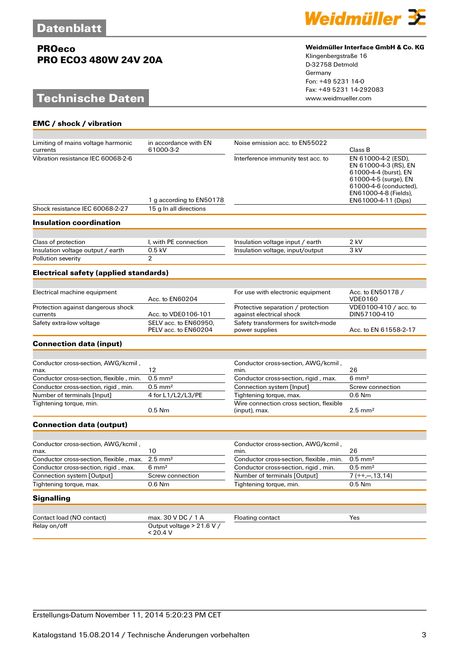# **Technische Daten**

**EMC / shock / vibration**



#### **Weidmüller Interface GmbH & Co. KG**

Klingenbergstraße 16 D-32758 Detmold Germany Fon: +49 5231 14-0 Fax: +49 5231 14-292083

| Limiting of mains voltage harmonic             | in accordance with EN                              | Noise emission acc. to EN55022                                 |                                              |
|------------------------------------------------|----------------------------------------------------|----------------------------------------------------------------|----------------------------------------------|
| currents                                       | 61000-3-2                                          |                                                                | Class B                                      |
| Vibration resistance IEC 60068-2-6             |                                                    | Interference immunity test acc. to                             | EN 61000-4-2 (ESD),<br>EN 61000-4-3 (RS), EN |
|                                                |                                                    |                                                                | 61000-4-4 (burst), EN                        |
|                                                |                                                    |                                                                | 61000-4-5 (surge), EN                        |
|                                                |                                                    |                                                                | 61000-4-6 (conducted),                       |
|                                                |                                                    |                                                                | EN61000-4-8 (Fields),                        |
| Shock resistance IEC 60068-2-27                | 1 g according to EN50178<br>15 g In all directions |                                                                | EN61000-4-11 (Dips)                          |
|                                                |                                                    |                                                                |                                              |
| <b>Insulation coordination</b>                 |                                                    |                                                                |                                              |
|                                                |                                                    |                                                                |                                              |
| Class of protection                            | I, with PE connection                              | Insulation voltage input / earth                               | $2$ kV                                       |
| Insulation voltage output / earth              | $0.5$ kV                                           | Insulation voltage, input/output                               | 3 kV                                         |
| Pollution severity                             | $\overline{2}$                                     |                                                                |                                              |
| <b>Electrical safety (applied standards)</b>   |                                                    |                                                                |                                              |
|                                                |                                                    |                                                                |                                              |
| Electrical machine equipment                   | Acc. to EN60204                                    | For use with electronic equipment                              | Acc. to EN50178 /<br><b>VDE0160</b>          |
| Protection against dangerous shock<br>currents | Acc. to VDE0106-101                                | Protective separation / protection<br>against electrical shock | VDE0100-410 / acc. to<br>DIN57100-410        |
| Safety extra-low voltage                       | SELV acc. to EN60950.<br>PELV acc. to EN60204      | Safety transformers for switch-mode<br>power supplies          | Acc. to EN 61558-2-17                        |
| <b>Connection data (input)</b>                 |                                                    |                                                                |                                              |
|                                                |                                                    |                                                                |                                              |
| , Conductor cross-section, AWG/kcmil           |                                                    | Conductor cross-section, AWG/kcmil,                            |                                              |
| max.                                           | 12                                                 | min.                                                           | 26                                           |
| Conductor cross-section, flexible, min.        | $0.5$ mm <sup>2</sup>                              | Conductor cross-section, rigid , max.                          | $6 \text{ mm}^2$                             |
| Conductor cross-section, rigid, min.           | $0.5$ mm <sup>2</sup>                              | Connection system [Input]                                      | Screw connection                             |
| Number of terminals [Input]                    | 4 for L1/L2/L3/PE                                  | Tightening torque, max.                                        | $0.6$ Nm                                     |
| Tightening torque, min.                        | $0.5$ Nm                                           | Wire connection cross section, flexible<br>(input), max.       | $2.5 \text{ mm}^2$                           |
| <b>Connection data (output)</b>                |                                                    |                                                                |                                              |
|                                                |                                                    |                                                                |                                              |
| Conductor cross-section, AWG/kcmil,            |                                                    | Conductor cross-section, AWG/kcmil,                            |                                              |
| max.                                           | 10                                                 | min.                                                           | 26                                           |
| Conductor cross-section, flexible, max.        | $2.5$ mm <sup>2</sup>                              | Conductor cross-section, flexible, min.                        | $0.5$ mm <sup>2</sup>                        |
| Conductor cross-section, rigid, max.           | $6 \text{ mm}^2$                                   | Conductor cross-section, rigid, min.                           | $0.5$ mm <sup>2</sup>                        |
| Connection system [Output]                     | Screw connection                                   | Number of terminals [Output]                                   | $7 (++, -, 13, 14)$                          |
| Tightening torque, max.                        | 0.6 Nm                                             | Tightening torque, min.                                        | $0.5$ Nm                                     |
| <b>Signalling</b>                              |                                                    |                                                                |                                              |
|                                                |                                                    |                                                                |                                              |
| Contact load (NO contact)                      | max. 30 V DC / 1 A                                 | Floating contact                                               | Yes                                          |
| Relav on/off                                   | Output voltage > 21.6 V /<br>< 20.4 V              |                                                                |                                              |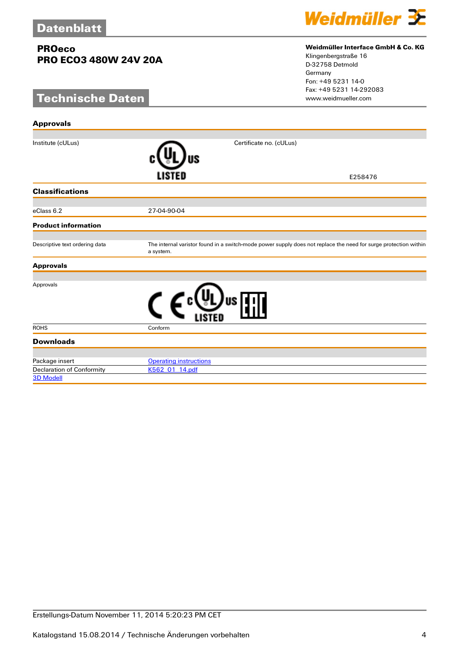**Approvals**

# **PROeco PRO ECO3 480W 24V 20A**

# **Technische Daten**



## **Weidmüller Interface GmbH & Co. KG**

Klingenbergstraße 16 D-32758 Detmold Germany Fon: +49 5231 14-0 Fax: +49 5231 14-292083

| . .                              |                                                                                                                              |                         |  |
|----------------------------------|------------------------------------------------------------------------------------------------------------------------------|-------------------------|--|
| Institute (cULus)                |                                                                                                                              | Certificate no. (cULus) |  |
|                                  |                                                                                                                              |                         |  |
|                                  |                                                                                                                              |                         |  |
|                                  | LISTED                                                                                                                       | E258476                 |  |
| <b>Classifications</b>           |                                                                                                                              |                         |  |
| eClass 6.2                       | 27-04-90-04                                                                                                                  |                         |  |
| <b>Product information</b>       |                                                                                                                              |                         |  |
| Descriptive text ordering data   |                                                                                                                              |                         |  |
|                                  | The internal varistor found in a switch-mode power supply does not replace the need for surge protection within<br>a system. |                         |  |
| <b>Approvals</b>                 |                                                                                                                              |                         |  |
| Approvals                        |                                                                                                                              |                         |  |
|                                  |                                                                                                                              |                         |  |
|                                  |                                                                                                                              |                         |  |
| <b>ROHS</b>                      | Conform                                                                                                                      |                         |  |
| <b>Downloads</b>                 |                                                                                                                              |                         |  |
|                                  |                                                                                                                              |                         |  |
| Package insert                   | <b>Operating instructions</b>                                                                                                |                         |  |
| <b>Declaration of Conformity</b> | K562_01_14.pdf                                                                                                               |                         |  |
| <b>3D Modell</b>                 |                                                                                                                              |                         |  |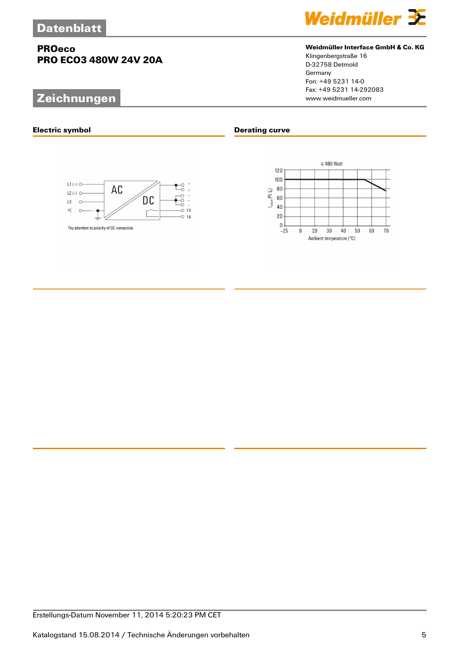# **Zeichnungen**



Pay attention to polarity of DC connection



## **Weidmüller Interface GmbH & Co. KG**

Klingenbergstraße 16 D-32758 Detmold Germany Fon: +49 5231 14-0 Fax: +49 5231 14-292083

## **Electric symbol Derating curve**

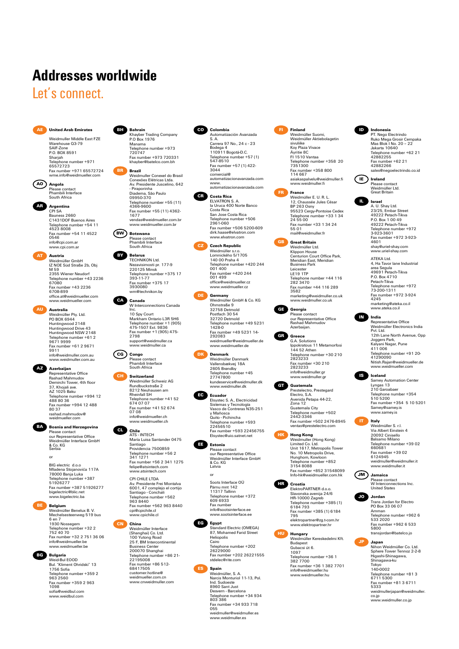# **Addresses worldwide**

# Let's connect.



Weidmuller Middle East FZE Warehouse 03-79 SAIF-Zone SAIF-ZUIJE<br>P.O. BOX 8591 Sharjah<br>Telephone<br>65572723 e number +971 65572723 Fax number +971 65572724 wme.info@weidmueller.com

**AO Angola** Please contact Phambili Interface South Africa

**AR Argentina**

CPI SA<br>Bauness 2660 Bauness 2660 C1431DOF Buenos Aires Telephone number +54 11 4523 8008 Fax number +54 11 4522 0546 info@cpi.com.ar www.cpi.com.a

**AT Austria** Weidmüller GmbH IZ NOE Süd Straße 2b, Obj<br>M 59 พ ออ<br>2355 Wiener Neudorf 2355 Wiener Neudorf Telephone number +43 2236 67080 Fax number +43 2236 6708-899 office.at@weidmueller.com www.weidmueller.com

**AU Australia** Weidmüller Pty. Ltd.<br>PO BOX 6944 PO BOX 6944 Huntingwood 2148 Huntingwood Drive 43 Huntingwood NSW 2148 Telephone number +61 2 9671 9999 Fax number +61 2 9671 9911 info@weidmuller.com.au www.weidmuller.com.au

**AZ Azerbaijan** Representative Office Rashad Mahmudov Demirchi Tower, 4th floor 37, Khojali ave. AZ 1025 Baku Telephone number +994 12 488 80 36 Fax number +994 12 488 80 37 rashad.mahmudov@ weidmueller.com



**BA Bosnia and Herzegovina** Please contact our Representative Office Weidmüller Interface GmbH & Co. KG Serbia

> BIG electric d.o.o Mladena Stojanovića 117A 78000 Banja Luka Telephone number +387 51926277 Fax number +387 51926277 bigelectric@blic.net www.bigelectric.ba



or

**Belgium**<br>
Weidmüller Benelux B. V.<br>
6 en 7<br>
6 en 7<br>
1930 Nossegem<br>
Telephone number +32 2<br>
752 40 70<br>
Fax number +32 2 751 36 06 info@weidmueller.be www.weidmueller.be



Weid-Bul EOOD Bul. "Kliment Ohridski" 13 1756 Sofia Telephone number +359 2 963 2560 Fax number +359 2 963 1098 sofia@weidbul.com www.weidbul.com

**Bahrain** Khayber Trading Company P.O Box 1976 Manama Telephone number +973 720747 Fax number +973 720331 khayber@batelco.com.bh

**BR Brazil** Weidmuller Conexel do Brasil Conexões Elétricas Ltda. Av. Presidente Juscelino, 642 - Piraporinha Diadema, São Paulo 09950-370 Telephone number +55 (11) 4366-9600 Fax number +55 (11) 4362- 1677 vendas@weidmueller.com.br www.weidmueller.com.b



**BY Belarus** TECHNIKON Ltd. Nezavisimosti pr. 177-9 220125 Minsk \_\_\_ .\_\_ ..........<br>Telephone number +375 17<br>393-11-77 393-11-77 Fax number +375 17 3930080 wm@technikon.by

**CA Canada** W Interconnections Canada



**CG Congo** Please contact Phambili Interface South Africa

**CH Switzerland** Weidmüller Schweiz AG Rundbuckstraße 2 8212 Neuhausen am<br>Rheinfall SH Rheinfall SH Telephone number +41 52 674 07 07 Fax number +41 52 674 07 08 info@weidmueller.ch www.weidmueller.ch



Providencia 7500859 Telephone number +56 2 341 1271 Fax number +56 2 341 1275 felipe@atsintech.com www.atsintech.com

CPI CHILE LTDA Av. Presidente Frei Montalva 6001, 47 complejo el cortijo Santiago - Conchali Telephone number +562 963 8440 Fax number +562 963 8440 cpi@cpichile.cl www.cpichile.cl



22195008 Fax number +86 512- 68417505 customer.hotline@ weidmueller.com.cn www.cnweidmuller.com **CO Colombia** Automatización Avanzada S. A. Carrera 97 No., 24 c - 23 Bodega 4 110911 Bogotá-D.C. Telephone number +57 (1) 547-8510 Fax number +57 (1) 422- 3044 comercial@ automatizacionavanzada.com www. automatizacionavanzada.com



**CZ**<br> **Czech Republic**<br>
Lomnického 5/1705<br>
140 00 Praha 4<br>
Telephone number +420 244<br>
001 400 Fax number +420 244 001 499 office@weidmueller.cz www.weidmueller.cz

**DE** Germany<br>
Weidmüller GmbH & Co. KG<br>
Ohmstraße 9<br>
Postfach 30 54<br>
Postfach 30 54<br>
32720 Detmold Telephone number +49 5231 1428-0 Fax number +49 5231 14- 292083 weidmueller@weidmueller.de www.weidmueller.de

**DK**<br>
Weidmüller Danmark<br>
Vallensbækvej 18A<br>
2605 Brøndby<br>
Telephone number +45<br>
27747800 kundeservice@weidmuller.dk www.weidmuller.dk

**ECUADOR<br>
Elsystec S. A., Electricidad<br>
Sistemas y Tecnología<br>
Vasco de Contreras N35-251<br>
y Mañosca<br>
Quito - Pichincha** Telephone number +593 22456510 Fax number +593 22456755 Elsystec@uio.satnet.net

**EE Estonia** Please contact our Representative Office Weidmüller Interface GmbH & Co. KG Latvia

> Soots Interface OÜ Pärnu mnt 142 11317 Tallinn Telephone number +372 609 6933 Fax number info@sootsinterface.ee www.sootsinterface.ee or



26229000 Fax number +202 26221555 stdelec@rite.com **ES Spain** Weidmüller, S. A. Narcis Monturiol 11-13, Pol. Ind. Sudoeste 8960 Sant Just Desvern - Barcelona Telephone number +34 934 803 386

Fax number +34 933 718

weidmuller@weidmuller.es www.weidmuller.es

055



**FI Finland** Weidmüller Suomi,<br>Weidmüller Aktiebolagetin<br>sivuliike<br>Koy Plaza Vivace Äyritie 8C FI 1510 Vantaa Telephone number +358 20 7351300 Fax number +358 800 114 667 asiakaspalvelu@weidmuller.fi www.weidmuller.fi



12, Chaussée Jules César BP 263 Osny 95523 Cergy-Pontoise Cedex Telephone number +33 1 34 24 55 00 Fax number +33 1 34 24 55 01 mail@weidmuller.fr

**GB Great Britain** Weidmüller Ltd.<br>Klippon House Klippon House Centurion Court Office Park, Meridian East, Meridian Business Park Leicester LE19 1TP

Telephone number +44 116 282 3470 Fax number +44 116 289 3582 marketing@weidmuller.co.uk www.weidmuller.co.uk

**GE Georgia** Please contact our Representative Office Rashad Mahmudov Azerbaijan.



Fax number +30 210 2823233 info@weidmuller.gr www.weidmuller.gr



Prestelectro, Prestegard Electro, S.A. Avenida Petapa 44-22, Zona 12 Guatemala City Telephone number +502 2442-3346 Fax number +502 2476-8945 ventas@prestelectro.com



**HK Hong Kong**<br>
Weidmuller (Hong Kong)<br>
Limited Co. Ltd.<br>
Unit 1617, Metropolis Tower No. 10 Metropolis Drive, Hunghom, Kowloon Telephone number +852 3154 8088 Fax number +852 31548099 Info-hk@weidmueller.com.hk

> ElektroPARTNER d.o.o. Slavonska avenija 24/6 HR-10000 Zagreb Telephone number +385 (1) 6184 793 Fax number +385 (1) 6184 795 elektropartner@zg.t-com.hr www.elektropartner.hr



**HU Hungary** Weidmüller Kereskedelmi Kft. Budapest Gubacsi út 6. 1097 Telephone number +36 1 382 7700 Fax number +36 1 382 7701 info@weidmueller.hu www.weidmueller.hu



**ID Indonesia** PT. Nego Electrindo Ruko Mega Grosir Cempaka Mas Blok I No. 20 – 22 Jakarta 10640 Telephone number +62 21 42882255 Fax number +62 21 42882266 sales@negoelectrindo.co.id

**IE Ireland** Please contact Weidmüller Ltd. Great Britain



23/25, Embar Street 49222 Petach-Tikva P.O. Box 1 00 49 49222 Petach-Tikva سی ہے۔<br>Telephone number +972<br>3-923-3601 3-923-3601 Fax number +972 3-923- 4601 shay@uriel-shay.com www.uriel-shay.com

ATEKA Ltd. 4, Ha Tavor lane Industrial area Segula 49691 Petach-Tikva P.O. Box 4710 Petach-Tikva Telephone number +972 73-200-1311 Fax number +972 3-924 4245 marketing@ateka.co.il www.ateka.co.il

**IN R**epresentative Office<br>
Representative Office<br>
Pvt. Ltd.<br>
12th Lane North Avenue, Opp<br>
Joggers Park,<br>
Kalyani Nagar, Pune<br>
411 006 Telephone number +91 20- 41290090 Nitish.Rajan@weidmueller.de www.weidmueller.com

**IS Iceland** Samey Automation Center Lyngas 13 210 Garoabaer

Telephone number +354 510 5200 Fax number +354 5 10 5201 Samey@samey.is www.camevie



www.weidmuller.it **JM Jamaica**



Trans Jordan for Electro PO Box 33 06 07 Amman Telephone number +962 6 533 2020 Fax number +962 6 533 5800 transjordan@batelco.jo







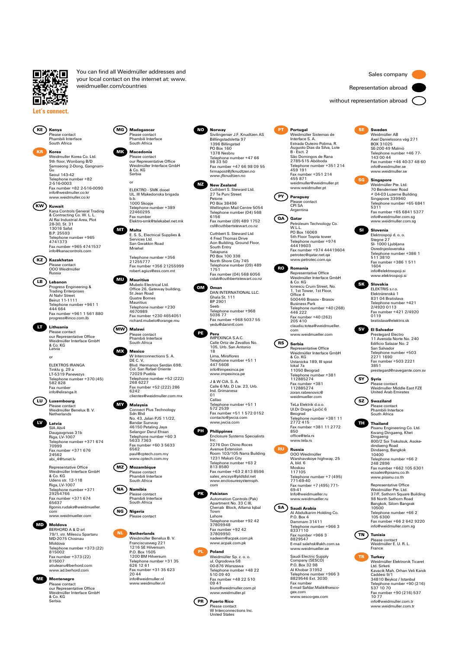

**Let's connect.**

You can find all Weidmüller addresses and your local contact on the internet at: www. weidmueller.com/countries

**KE Kenya**

Please contact Phambili Interface South Africa

**KR Korea**

Weidmuller Korea Co. Ltd. 9th floor, Wonbang B/D Samseong 2-Dong, Gangnam-Gu Seoul 143-42 Telephone number +82<br>2-516-0003 2-516-0003 Fax number +82 2-516-0090 info@weidmuller.co.kr www.weidmuller.co.kr

**KW Kuwait** Kana Controls General Trading & Contracting Co. W. L. L. Al Rai Industrial Area, Plot 28-30, St. 31 13016 Safat<br>B P 25593 B.P. 25593 Telephone number +965 4741373 Fax number +965 4741537 info@kanacontrols.com



**LB Lebanon** Progress Engineering & Trading Enterprises Al Nahr Street Beirut 11-1111 Telephone number +961 1<br>444 664 444 664 Fax number +961 1 561 880 progress@inco.com.lb



**LT Lithuania** Please contact our Representative Office Weidmüller Interface GmbH & Co. KG Latvia

ELEKTROS IRANGA Tinklu g. 29 a LT-5319 Panevezys Telephone number +370 (45) 582 828 Fax number info@eliranga.lt or

**LU Luxembourg** Please contact Weidmüller Benelux B. V. Netherlands

**LV Latvia** SIA Abi4 Daugavgrivas 31b Riga, LV-1007 Telephone number +371 674 70999 Fax number +371 676 24562 abi\_4@tvnet.lv

> Representative Office Weidmüller Interface GmbH & Co. KG Udens str. 12-118 Riga, LV-1007 Telephone number +371 29254766 Fax number +371 674 65637 usus /<br>Ilgonis.rudaks@weidmueller. com www.weidmueller.com



**MD Moldova** BERHORD A & D srl 79/1, str. Milescu Spartaru MD-2075 Chisinau Moldova Telephone number +373 (22) 815002 Fax number +373 (22) 815007 atiuleanu@berhord.com www.ad.berhord.com



Please contact<br>our Representative Office<br>Weidmüller Interface GmbH<br>& Co. KG<br>Serbia.

**MG Madagascar** Please contact Phambili Interface South Africa

or

**MK Macedonia** Please contact our Representative Office Weidmüller Interface GmbH & Co. KG Serbia



ELEKTRO - SMK dooel UL. III Makedonska brigada b.b. 1000 Skopje Telephone number +389 22460295 Fax number Elektro-smk@telekabel.net.mk

**MT Malta France<br>E. S. S., Electrical Supplies &<br>Services Ltd.** Services Ltd. San Gwakkin Road Mriehel

Telephone number +356 21255777 Fax number +356 21255999 robert.agius@ess.com.mt

**MU Mauritius** Mubelo Electrical Ltd. Office 26, Gateway building, St Jean Road Quatre Bornes Mauritius Telephone number +230 4670989 Fax number +230 4654051 richard.mubelo@orange.mu

**MW Malawi**



Please contact Phambili Interface South Africa **MX Mexico** W Interconnections S. A. DE C. V. Blvd. Hermanos Serdán 698, Col. San Rafael Oriente 72029 Puebla Telephone number +52 (222) 268 6227 Fax number +52 (222) 286 6242 clientes@weidmuller.com.mx

**MY Malaysia** Connect Plus Technology Sdn Bhd No. 43, Jalan PJS 11/22, Bandar Sunway 46150 Petaling Jaya Selangor Darul Ehsan Telephone number +60 3 5633 7363 Fax number +60 3 5633 6562 paul@cptech.com.my

www.cptech.com.my **MZ Mozambique** Please contact Phambili Interface South Africa

**NA Namibia** Please contact Phambili Interface South Africa

**NG Nigeria** Please contact

**NL Netherlands** Weidmüller Benelux B. V. Franciscusweg 221 1216 SE Hilversum P.O. Box 1505 1200 BM Hilversum Telephone number +31 35 626 12 61 Fax number +31 35 623 20 44 info@weidmuller.nl www.weidmuller.nl



Telephone number +47 66 98 33 50 Fax number +47 66 98 09 55 firmapost@jfknudtzen.no www.jfknudtzen.no **NZ New Zealand** Cuthbert S. Steward Ltd. Cumpert S. Store<br>27 Te Puni Street<br>Petene Petone<br>PO Box 38496 PO Box 38496 Wellington Mail Centre 5054 Telephone number (04) 568 6156

Sivilingeniør J.F. Knudtzen AS Billlingstadsletta 97

1396 Billingstad PO Box 160 1378 Nesbru

**NO Norway**

Fax number (09) 489 1752 csl@cuthbertstewart.co.nz Cuthbert S. Steward Ltd 4 Fred Thomas Drive Aon Building, Ground Floor, South Entry Takapuna PO Box 100 338 North Shore City 745 Telephone number (09) 489

1751 Fax number (04) 568 6056 cslak@cuthbertstewart.co.nz **OM Oman** DAN INTERNATIONAL LLC. Ghala St. 111 BP 2901<br>Seeb Seeb Telephone number +968 5036 77 Fax number +968 5037 55 yedu@danintl.com



Calle Ortiz de Zevallos No. 105, Urb. San Antonio 18 Lima, Miraflores

Telephone number +51 1 447 5608 info@impexinca.pe www.impexinca.pe

J & W CIA. S. A. Calle 6 Mz. D Lte. 23, Urb. Ind. Grimanesa nta.<br>01<br>Calleo

Callao Telephone number +51 1 572 2539 Fax number +51 1 572 0152 contacto@jwcia.com www.jwcia.com



com **PK Pakistan**<br>Automation Controls (Pak) Automation Controls (Pak) Apartment No. 33 C III, Chenab Block, Allama Iqbal Town Lahore Telephone number +92 42 37809948 Fax number +92 42 37809950

nadeem@acpak.com.pk www.acpak.com.pk **PL Poland** Weidmüller Sp. z. o. o. ul. Ogrodowa 58 00-876 Warszawa Telephone number +48 22 510 09 40

 $\frac{600040}{6}$  Fax number +48 22 510 09 41 biuro@weidmuller.com.pl www.weidmuller.pl

Please contact W Interconnections Inc. United States



without representation abroad (

Sales company

**PT Portugal** Portugar<br>Weidmüller Sistemas de<br>Interface S. A. Interface S. A. Estrada Outeiro Polima, R. Augusto Dias da Silva, Lote B - Esct. 2 São Domingos de Rana 2785-515 Abóboda Telephone number +351 214 459 191 Fax number +351 214 455 871 weidmuller@weidmuller.pt www.weidmuller.pt

**PY Paraguay** Please contact CPI SA Argentina



Petroleum Technology Co.<br>W.L.L. W.L.L. PO Box 16069 5th Floor Toyota tower Telephone number +974 44419603 Fax number +974 44419604 petrotec@qatar.net.qa www.petrotec.com.qa



**Romania**<br> **Representative Office** Weidmüller Interface GmbH & Co. KG Ionescu Crum Street, No. 1, 1st Tower, 1st Floor, Office 4 500446 Brasov - Brasov Business Park Telephone number +40 (268) 446 222 Fax number +40 (262) 205 410 205 4 IO<br>claudiu.totea@weidmueller.<br>com com www.weidmueller.com



**RS**<br>
Representative Office<br>
Weidmüller Interface GmbH<br>
& Co. KG<br>
Ustanicka 189, III sprat lokal 7a

11050 Beograd Telephone number +381 112885274 Fax number +381 112885274 zoran.rabrenovic@ weidmueller.com

TeLa Elektrik d.o.o. Ul.Dr Drage Ljočić 6 Beograd Telephone number +381 11 2772 415 Fax number +381 11 2772 850 office@tela.rs www.tela.rs



OOO Weidmüller Warshavskoye highway, 25 A, bld. 6 Moskau 117105 Telephone number +7 (495) 771-69-40 Fax number +7 (495) 771- 69-41 69-41<br>Info@weidmueller.ru www.weidmueller.ru

**SA Saudi Arabia**

Al Abdulkarim Holding Co. P.O. Box 4 Dammam 31411 Telephone number +966 3 8337110 Fax number +966 3 8829547 E-mail salehsk@akh.com.sa www.weidmueller.ae

Saudi Electric Supply Company (SESCO) P.O. Box 32 98 P.O. Box 32 98<br>Al Khobar 31952 Telephone number +966 3 8829546 Ext. 3030 Fax number E-mail Safdar.Malik@sescogex.com www.sesco-gex.com



**SG Singapore** Weidmüller Pte. Ltd. 70 Bendemeer Road # 04-03 Luzerne Building Singapore 339940 Telephone number +65 6841 5311 Fax number +65 6841 5377 info@weidmuller.com.sg www.weidmuller.com.sg

**SI Slovenia** Elektrospoji d. o. o. Stegne 27 SI- 1000 Ljubljana Osrednjeslovenska Telephone number +386 1 511 3810 Fax number +386 1 511 1604 info@elektrospoji.si www.elektrospoji.si

**SK Slovakia** ELEKTRIS s.r.o. Elektrárenská 1 831 04 Bratislava Telephone number +421 2/4920 0113 Fax number +421 2/4920 0119 bratislava@elektris.sk

**SV El Salvador**

Prestegard Electro 11 Avenida Norte No. 240 Edificio Salazar No. 2 San Salvador Telephone number +503 2271 1690 Fax number +503 2221 3851 prestegard@navegante.com.sv

**SY Syria** Please contact Weidmuller Middle East FZE United Arab Emirates

**SZ Swaziland** Please contact Phambili Interface South Africa

**TH Thailand** Pisanu Engineering Co. Ltd. Kwang Dingaeng, Khet Dingaeng 800/2 Soi Trakulsuk, Asoke-dindaeng Road Dindaeng, Bangkok 10400 Telephone number +66 2 248 2896 Fax number +662 105 6301 ecsales@pisanu.co.th

www.pisanu.co.th Representative Office Weidmüller Pte. Ltd. 37/F, Sathorn Square Building 98 North Sathorn Road Bangkok, Silom Bangrak 10500 Telephone number +66 2 105 6300

Fax number +66 2 642 9220 info@weidmuller.com.sg **TN Tunisia** Please contact Weidmüller E. U. R. L.



Weidmüller Elektronik Ticaret Ltd. Sirketi Kavacik Mah. Orhan Veli Kanik Caddesi 9/1 34810 Beykoz / Istanbul Telephone number +90 (216) 537 10 70 Fax number +90 (216) 537 10 77 info@weidmuller.com.tr www.weidmuller.com.tr